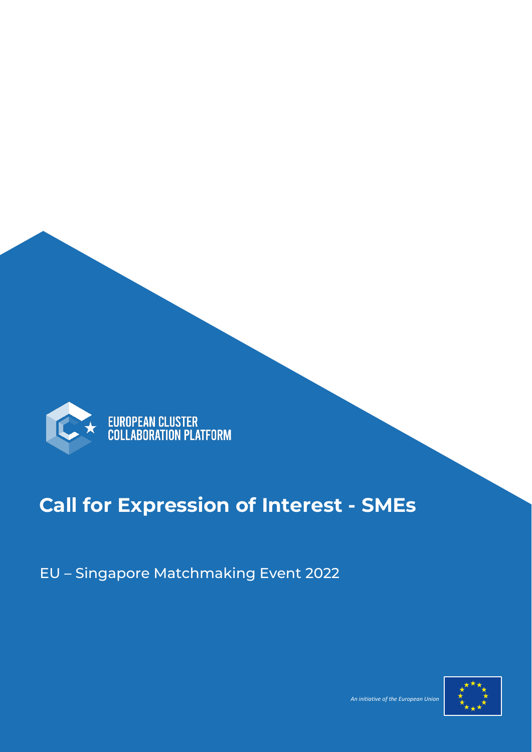

## **Call for Expression of Interest - SMEs**

EU – Singapore Matchmaking Event 2022



and the contract of the contract of the contract of the contract of the contract of the European Union (2008) and the Curopean Union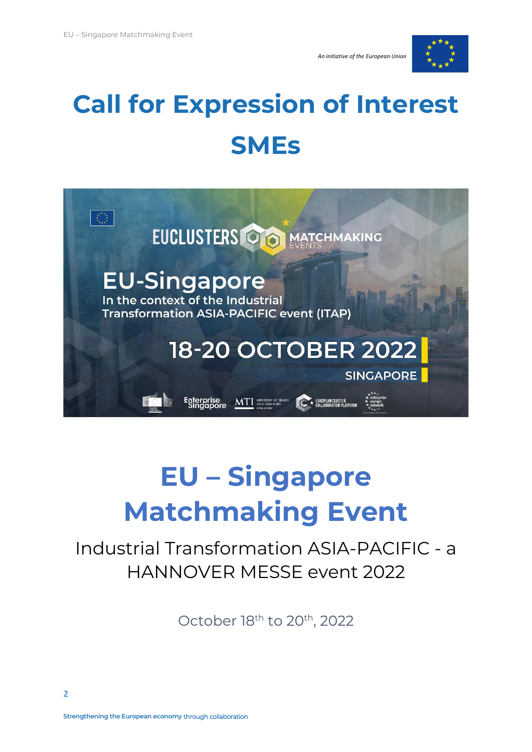



# **Call for Expression of Interest SMEs**



# **EU – Singapore Matchmaking Event**

## Industrial Transformation ASIA-PACIFIC - a HANNOVER MESSE event 2022

October 18<sup>th</sup> to 20<sup>th</sup>, 2022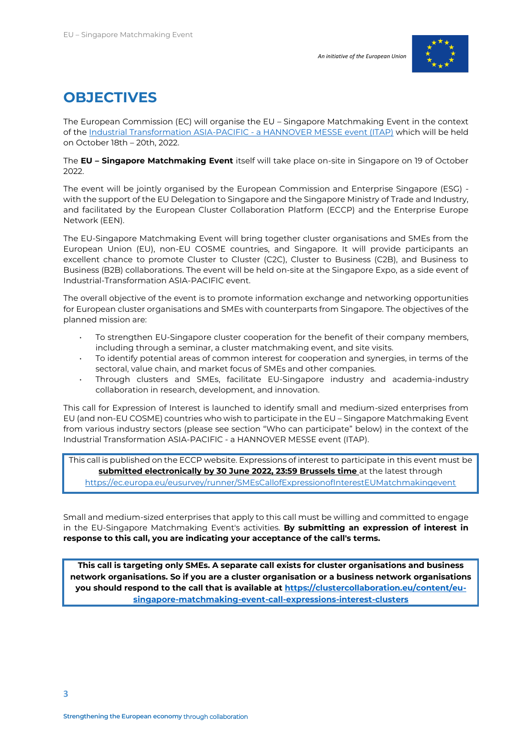

### **OBJECTIVES**

The European Commission (EC) will organise the EU – Singapore Matchmaking Event in the context of th[e Industrial Transformation ASIA-PACIFIC -](https://www.industrial-transformation.com/page/itap-2022-overview) a HANNOVER MESSE event (ITAP) which will be held on October 18th – 20th, 2022.

The **EU – Singapore Matchmaking Event** itself will take place on-site in Singapore on 19 of October 2022.

The event will be jointly organised by the European Commission and Enterprise Singapore (ESG) with the support of the EU Delegation to Singapore and the Singapore Ministry of Trade and Industry, and facilitated by the European Cluster Collaboration Platform (ECCP) and the Enterprise Europe Network (EEN).

The EU-Singapore Matchmaking Event will bring together cluster organisations and SMEs from the European Union (EU), non-EU COSME countries, and Singapore. It will provide participants an excellent chance to promote Cluster to Cluster (C2C), Cluster to Business (C2B), and Business to Business (B2B) collaborations. The event will be held on-site at the Singapore Expo, as a side event of Industrial-Transformation ASIA-PACIFIC event.

The overall objective of the event is to promote information exchange and networking opportunities for European cluster organisations and SMEs with counterparts from Singapore. The objectives of the planned mission are:

- To strengthen EU-Singapore cluster cooperation for the benefit of their company members, including through a seminar, a cluster matchmaking event, and site visits.
- To identify potential areas of common interest for cooperation and synergies, in terms of the sectoral, value chain, and market focus of SMEs and other companies.
- Through clusters and SMEs, facilitate EU-Singapore industry and academia-industry collaboration in research, development, and innovation.

This call for Expression of Interest is launched to identify small and medium-sized enterprises from EU (and non-EU COSME) countries who wish to participate in the EU – Singapore Matchmaking Event from various industry sectors (please see section "Who can participate" below) in the context of the Industrial Transformation ASIA-PACIFIC - a HANNOVER MESSE event (ITAP).

This call is published on the ECCP website. Expressions of interest to participate in this event must be **submitted electronically by 30 June 2022, 23:59 Brussels time** at the latest through

<https://ec.europa.eu/eusurvey/runner/SMEsCallofExpressionofInterestEUMatchmakingevent>

Small and medium-sized enterprises that apply to this call must be willing and committed to engage in the EU-Singapore Matchmaking Event's activities. **By submitting an expression of interest in response to this call, you are indicating your acceptance of the call's terms.**

**This call is targeting only SMEs. A separate call exists for cluster organisations and business network organisations. So if you are a cluster organisation or a business network organisations you should respond to the call that is available at [https://clustercollaboration.eu/content/eu](https://clustercollaboration.eu/content/eu-singapore-matchmaking-event-call-expressions-interest-clusters)[singapore-matchmaking-event-call-expressions-interest-clusters](https://clustercollaboration.eu/content/eu-singapore-matchmaking-event-call-expressions-interest-clusters)**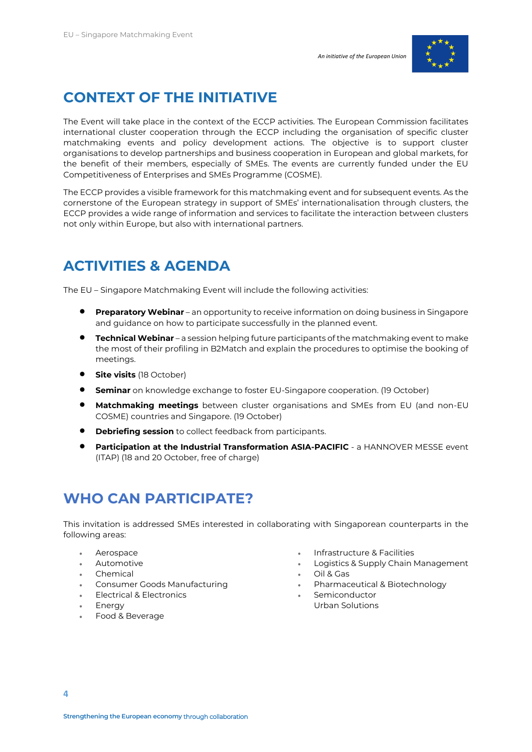

### **CONTEXT OF THE INITIATIVE**

The Event will take place in the context of the ECCP activities. The European Commission facilitates international cluster cooperation through the ECCP including the organisation of specific cluster matchmaking events and policy development actions. The objective is to support cluster organisations to develop partnerships and business cooperation in European and global markets, for the benefit of their members, especially of SMEs. The events are currently funded under the EU Competitiveness of Enterprises and SMEs Programme (COSME).

The ECCP provides a visible framework for this matchmaking event and for subsequent events. As the cornerstone of the European strategy in support of SMEs' internationalisation through clusters, the ECCP provides a wide range of information and services to facilitate the interaction between clusters not only within Europe, but also with international partners.

#### **ACTIVITIES & AGENDA**

The EU – Singapore Matchmaking Event will include the following activities:

- **Preparatory Webinar** an opportunity to receive information on doing business in Singapore and guidance on how to participate successfully in the planned event.
- **Technical Webinar** a session helping future participants of the matchmaking event to make the most of their profiling in B2Match and explain the procedures to optimise the booking of meetings.
- **Site visits** (18 October)
- **• Seminar** on knowledge exchange to foster EU-Singapore cooperation. (19 October)
- **Matchmaking meetings** between cluster organisations and SMEs from EU (and non-EU COSME) countries and Singapore. (19 October)
- **Debriefing session** to collect feedback from participants.
- **Participation at the Industrial Transformation ASIA-PACIFIC** a HANNOVER MESSE event (ITAP) (18 and 20 October, free of charge)

#### **WHO CAN PARTICIPATE?**

This invitation is addressed SMEs interested in collaborating with Singaporean counterparts in the following areas:

- Aerospace
- Automotive
- Chemical
- Consumer Goods Manufacturing
- Electrical & Electronics
- **Energy**
- Food & Beverage
- Infrastructure & Facilities
- Logistics & Supply Chain Management
- Oil & Gas
- Pharmaceutical & Biotechnology
- Semiconductor Urban Solutions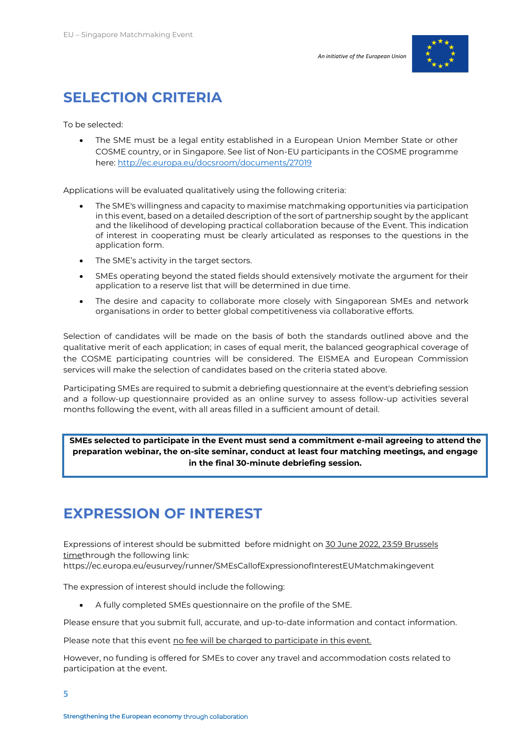

#### **SELECTION CRITERIA**

To be selected:

The SME must be a legal entity established in a European Union Member State or other COSME country, or in Singapore. See list of Non-EU participants in the COSME programme here[: http://ec.europa.eu/docsroom/documents/27019](http://ec.europa.eu/docsroom/documents/27019)

Applications will be evaluated qualitatively using the following criteria:

- The SME's willingness and capacity to maximise matchmaking opportunities via participation in this event, based on a detailed description of the sort of partnership sought by the applicant and the likelihood of developing practical collaboration because of the Event. This indication of interest in cooperating must be clearly articulated as responses to the questions in the application form.
- The SME's activity in the target sectors.
- SMEs operating beyond the stated fields should extensively motivate the argument for their application to a reserve list that will be determined in due time.
- The desire and capacity to collaborate more closely with Singaporean SMEs and network organisations in order to better global competitiveness via collaborative efforts.

Selection of candidates will be made on the basis of both the standards outlined above and the qualitative merit of each application; in cases of equal merit, the balanced geographical coverage of the COSME participating countries will be considered. The EISMEA and European Commission services will make the selection of candidates based on the criteria stated above.

Participating SMEs are required to submit a debriefing questionnaire at the event's debriefing session and a follow-up questionnaire provided as an online survey to assess follow-up activities several months following the event, with all areas filled in a sufficient amount of detail.

**SMEs selected to participate in the Event must send a commitment e-mail agreeing to attend the preparation webinar, the on-site seminar, conduct at least four matching meetings, and engage in the final 30-minute debriefing session.**

#### **EXPRESSION OF INTEREST**

Expressions of interest should be submitted before midnight on 30 June 2022, 23:59 Brussels timethrough the following link:

https://ec.europa.eu/eusurvey/runner/SMEsCallofExpressionofInterestEUMatchmakingevent

The expression of interest should include the following:

• A fully completed SMEs questionnaire on the profile of the SME.

Please ensure that you submit full, accurate, and up-to-date information and contact information.

Please note that this event no fee will be charged to participate in this event.

However, no funding is offered for SMEs to cover any travel and accommodation costs related to participation at the event.